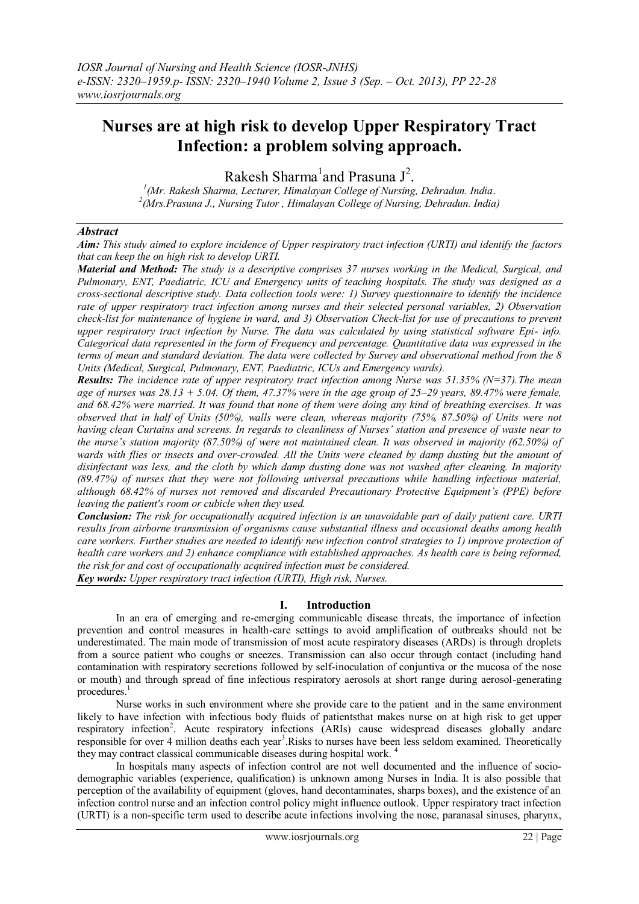# **Nurses are at high risk to develop Upper Respiratory Tract Infection: a problem solving approach.**

Rakesh Sharma<sup>1</sup> and Prasuna  $J^2$ .

*1 (Mr. Rakesh Sharma, Lecturer, Himalayan College of Nursing, Dehradun. India*. *2 (Mrs.Prasuna J., Nursing Tutor , Himalayan College of Nursing, Dehradun. India)*

#### *Abstract*

*Aim: This study aimed to explore incidence of Upper respiratory tract infection (URTI) and identify the factors that can keep the on high risk to develop URTI.*

*Material and Method: The study is a descriptive comprises 37 nurses working in the Medical, Surgical, and Pulmonary, ENT, Paediatric, ICU and Emergency units of teaching hospitals. The study was designed as a cross-sectional descriptive study. Data collection tools were: 1) Survey questionnaire to identify the incidence rate of upper respiratory tract infection among nurses and their selected personal variables, 2) Observation check-list for maintenance of hygiene in ward, and 3) Observation Check-list for use of precautions to prevent upper respiratory tract infection by Nurse. The data was calculated by using statistical software Epi- info. Categorical data represented in the form of Frequency and percentage. Quantitative data was expressed in the terms of mean and standard deviation. The data were collected by Survey and observational method from the 8 Units (Medical, Surgical, Pulmonary, ENT, Paediatric, ICUs and Emergency wards).* 

*Results: The incidence rate of upper respiratory tract infection among Nurse was 51.35% (N=37).The mean age of nurses was 28.13 + 5.04. Of them, 47.37% were in the age group of 25–29 years, 89.47% were female, and 68.42% were married. It was found that none of them were doing any kind of breathing exercises. It was observed that in half of Units (50%), walls were clean, whereas majority (75%, 87.50%) of Units were not having clean Curtains and screens. In regards to cleanliness of Nurses' station and presence of waste near to the nurse's station majority (87.50%) of were not maintained clean. It was observed in majority (62.50%) of wards with flies or insects and over-crowded. All the Units were cleaned by damp dusting but the amount of disinfectant was less, and the cloth by which damp dusting done was not washed after cleaning. In majority (89.47%) of nurses that they were not following universal precautions while handling infectious material, although 68.42% of nurses not removed and discarded Precautionary Protective Equipment's (PPE) before leaving the patient's room or cubicle when they used.*

*Conclusion: The risk for occupationally acquired infection is an unavoidable part of daily patient care. URTI results from airborne transmission of organisms cause substantial illness and occasional deaths among health* care workers. Further studies are needed to identify new infection control strategies to 1) improve protection of *health care workers and 2) enhance compliance with established approaches. As health care is being reformed, the risk for and cost of occupationally acquired infection must be considered.*

*Key words: Upper respiratory tract infection (URTI), High risk, Nurses.*

#### **I. Introduction**

In an era of emerging and re-emerging communicable disease threats, the importance of infection prevention and control measures in health-care settings to avoid amplification of outbreaks should not be underestimated. The main mode of transmission of most acute respiratory diseases (ARDs) is through droplets from a source patient who coughs or sneezes. Transmission can also occur through contact (including hand contamination with respiratory secretions followed by self-inoculation of conjuntiva or the mucosa of the nose or mouth) and through spread of fine infectious respiratory aerosols at short range during aerosol-generating procedures.<sup>1</sup>

Nurse works in such environment where she provide care to the patient and in the same environment likely to have infection with infectious body fluids of patientsthat makes nurse on at high risk to get upper respiratory infection<sup>2</sup>. Acute respiratory infections (ARIs) cause widespread diseases globally andare responsible for over 4 million deaths each year<sup>3</sup>.Risks to nurses have been less seldom examined. Theoretically they may contract classical communicable diseases during hospital work.<sup>4</sup>

In hospitals many aspects of infection control are not well documented and the influence of sociodemographic variables (experience, qualification) is unknown among Nurses in India. It is also possible that perception of the availability of equipment (gloves, hand decontaminates, sharps boxes), and the existence of an infection control nurse and an infection control policy might influence outlook. Upper respiratory tract infection (URTI) is a non-specific term used to describe acute infections involving the nose, paranasal sinuses, pharynx,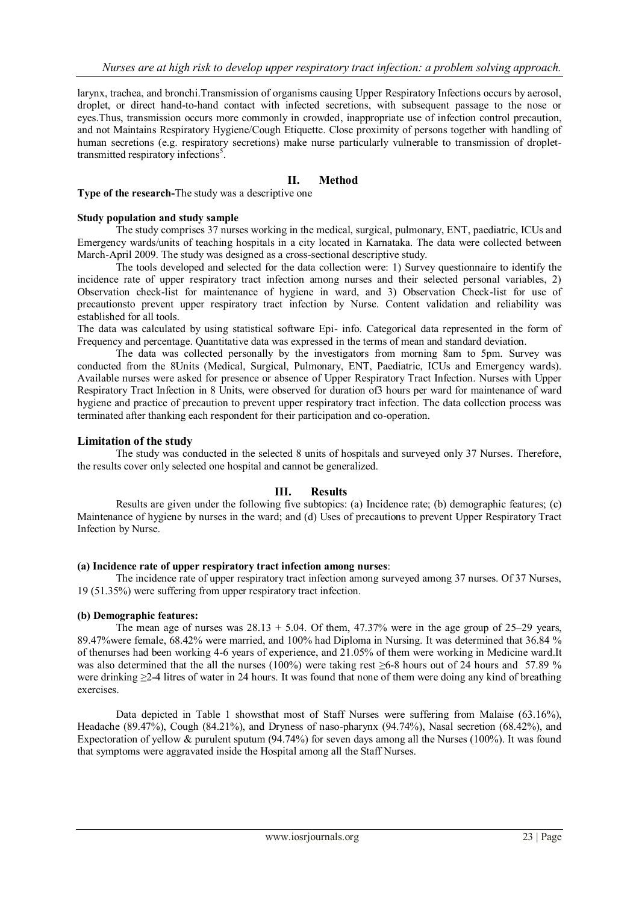larynx, trachea, and bronchi.Transmission of organisms causing Upper Respiratory Infections occurs by aerosol, droplet, or direct hand-to-hand contact with infected secretions, with subsequent passage to the nose or eyes.Thus, transmission occurs more commonly in crowded, inappropriate use of infection control precaution, and not Maintains Respiratory Hygiene/Cough Etiquette. Close proximity of persons together with handling of human secretions (e.g. respiratory secretions) make nurse particularly vulnerable to transmission of droplettransmitted respiratory infections<sup>5</sup>.

# **II. Method**

**Type of the research-**The study was a descriptive one

#### **Study population and study sample**

The study comprises 37 nurses working in the medical, surgical, pulmonary, ENT, paediatric, ICUs and Emergency wards/units of teaching hospitals in a city located in Karnataka. The data were collected between March-April 2009. The study was designed as a cross-sectional descriptive study.

The tools developed and selected for the data collection were: 1) Survey questionnaire to identify the incidence rate of upper respiratory tract infection among nurses and their selected personal variables, 2) Observation check-list for maintenance of hygiene in ward, and 3) Observation Check-list for use of precautionsto prevent upper respiratory tract infection by Nurse. Content validation and reliability was established for all tools.

The data was calculated by using statistical software Epi- info. Categorical data represented in the form of Frequency and percentage. Quantitative data was expressed in the terms of mean and standard deviation.

The data was collected personally by the investigators from morning 8am to 5pm. Survey was conducted from the 8Units (Medical, Surgical, Pulmonary, ENT, Paediatric, ICUs and Emergency wards). Available nurses were asked for presence or absence of Upper Respiratory Tract Infection. Nurses with Upper Respiratory Tract Infection in 8 Units, were observed for duration of3 hours per ward for maintenance of ward hygiene and practice of precaution to prevent upper respiratory tract infection. The data collection process was terminated after thanking each respondent for their participation and co-operation.

## **Limitation of the study**

The study was conducted in the selected 8 units of hospitals and surveyed only 37 Nurses. Therefore, the results cover only selected one hospital and cannot be generalized.

## **III. Results**

Results are given under the following five subtopics: (a) Incidence rate; (b) demographic features; (c) Maintenance of hygiene by nurses in the ward; and (d) Uses of precautions to prevent Upper Respiratory Tract Infection by Nurse.

#### **(a) Incidence rate of upper respiratory tract infection among nurses**:

The incidence rate of upper respiratory tract infection among surveyed among 37 nurses. Of 37 Nurses, 19 (51.35%) were suffering from upper respiratory tract infection.

## **(b) Demographic features:**

The mean age of nurses was  $28.13 + 5.04$ . Of them, 47.37% were in the age group of 25–29 years, 89.47%were female, 68.42% were married, and 100% had Diploma in Nursing. It was determined that 36.84 % of thenurses had been working 4-6 years of experience, and 21.05% of them were working in Medicine ward.It was also determined that the all the nurses (100%) were taking rest  $\geq$ 6-8 hours out of 24 hours and 57.89 % were drinking ≥2-4 litres of water in 24 hours. It was found that none of them were doing any kind of breathing exercises.

Data depicted in Table 1 showsthat most of Staff Nurses were suffering from Malaise (63.16%). Headache (89.47%), Cough (84.21%), and Dryness of naso-pharynx (94.74%), Nasal secretion (68.42%), and Expectoration of yellow & purulent sputum (94.74%) for seven days among all the Nurses (100%). It was found that symptoms were aggravated inside the Hospital among all the Staff Nurses.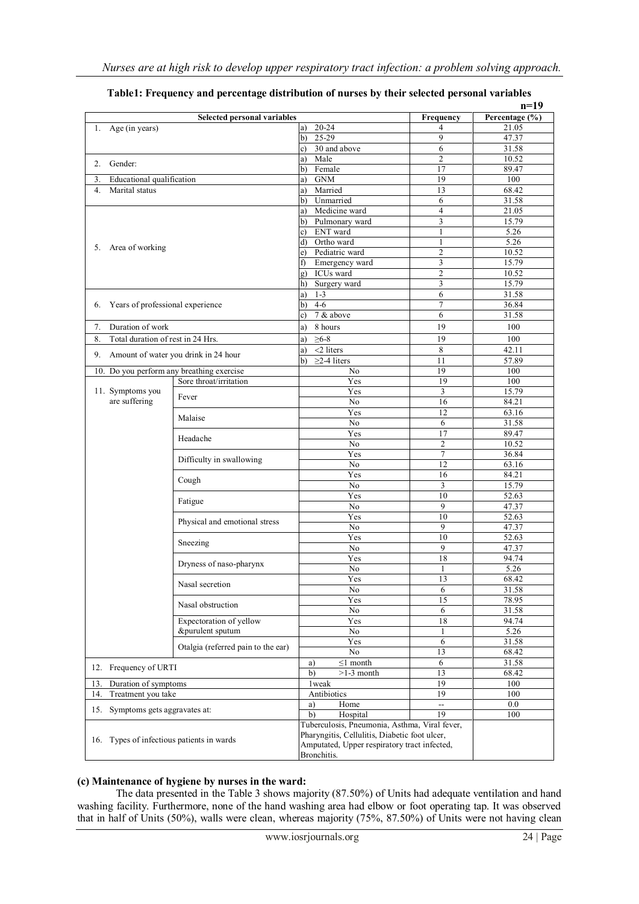|                                                      |                                           |                                               |                | $n=19$         |
|------------------------------------------------------|-------------------------------------------|-----------------------------------------------|----------------|----------------|
|                                                      | <b>Selected personal variables</b>        |                                               |                | Percentage (%) |
| 1. Age (in years)                                    |                                           | $20 - 24$<br>a)                               | 4              | 21.05          |
|                                                      |                                           | 25-29<br>b)                                   | 9              | 47.37          |
|                                                      |                                           | 30 and above<br>c)                            | 6              | 31.58          |
| 2. Gender:                                           |                                           | Male<br>a)                                    | $\mathfrak{2}$ | 10.52          |
|                                                      |                                           |                                               | 17             | 89.47          |
| Educational qualification<br>3.                      |                                           | <b>GNM</b><br>a)                              | 19             | 100            |
| Marital status<br>4 <sup>1</sup>                     |                                           | Married<br>a)                                 | 13             | 68.42          |
|                                                      |                                           | Unmarried<br>b)                               | 6              | 31.58          |
|                                                      |                                           | Medicine ward<br>a)                           | $\overline{4}$ | 21.05          |
|                                                      |                                           |                                               | 3              | 15.79          |
|                                                      |                                           |                                               | 1              | 5.26           |
|                                                      |                                           | ENT ward<br>c)<br>Ortho ward<br>d)            | $\mathbf{1}$   | 5.26           |
|                                                      | 5. Area of working                        |                                               | $\overline{c}$ | 10.52          |
|                                                      |                                           | Pediatric ward<br>e)<br>Emergency ward<br>f)  | 3              | 15.79          |
|                                                      |                                           | ICUs ward                                     | $\overline{2}$ | 10.52          |
|                                                      |                                           | Surgery ward<br>h)                            | 3              | 15.79          |
|                                                      |                                           | $1 - 3$                                       | 6              | 31.58          |
|                                                      |                                           | a)<br>$4-6$                                   | 7              | 36.84          |
| Years of professional experience<br>6.               |                                           | b)                                            |                |                |
|                                                      |                                           | 7 & above<br>c)                               | 6              | 31.58          |
| Duration of work<br>7.                               |                                           | 8 hours<br>a)                                 | 19             | 100            |
| Total duration of rest in 24 Hrs.<br>8.              |                                           | $\geq 6-8$<br>a)                              | 19             | 100            |
|                                                      |                                           | $<$ 2 liters<br>a)                            | 8              | 42.11          |
| 9.                                                   | Amount of water you drink in 24 hour      | $\geq$ 2-4 liters<br>b)                       | 11             | 57.89          |
|                                                      | 10. Do you perform any breathing exercise | No                                            | 19             | 100            |
|                                                      | Sore throat/irritation                    | Yes                                           | 19             | 100            |
| 11. Symptoms you                                     |                                           | Yes                                           | 3              | 15.79          |
| are suffering                                        | Fever                                     | No                                            | 16             | 84.21          |
|                                                      |                                           | Yes                                           | 12             | 63.16          |
|                                                      | Malaise                                   | No                                            | 6              | 31.58          |
|                                                      |                                           | Yes                                           | 17             | 89.47          |
|                                                      | Headache                                  | No                                            | $\overline{c}$ | 10.52          |
|                                                      |                                           | Yes                                           | 7              | 36.84          |
|                                                      | Difficulty in swallowing                  | No                                            | 12             | 63.16          |
|                                                      |                                           | Yes                                           | 16             | 84.21          |
|                                                      | Cough                                     | No                                            | 3              | 15.79          |
|                                                      |                                           | Yes                                           | 10             | 52.63          |
|                                                      | Fatigue                                   |                                               |                |                |
|                                                      |                                           | No                                            | 9              | 47.37          |
|                                                      | Physical and emotional stress             | Yes                                           | 10             | 52.63          |
|                                                      |                                           | No                                            | 9              | 47.37          |
|                                                      | Sneezing                                  | Yes                                           | 10             | 52.63          |
|                                                      |                                           | No                                            | 9              | 47.37          |
|                                                      | Dryness of naso-pharynx                   | Yes                                           | 18             | 94.74          |
|                                                      |                                           | No                                            | 1              | 5.26           |
|                                                      | Nasal secretion                           | Yes                                           | 13             | 68.42          |
|                                                      |                                           | No                                            | 6              | 31.58          |
|                                                      | Nasal obstruction                         | Yes                                           | 15             | 78.95          |
|                                                      |                                           | No                                            | 6              | 31.58          |
|                                                      | Expectoration of yellow                   | Yes                                           | 18             | 94.74          |
|                                                      | &purulent sputum                          | No                                            | 1              | 5.26           |
|                                                      |                                           | Yes                                           | 6              | 31.58          |
|                                                      | Otalgia (referred pain to the ear)        | No                                            | 13             | 68.42          |
| 12. Frequency of URTI<br>13.<br>Duration of symptoms |                                           | $\leq$ 1 month<br>a)                          | 6              | 31.58          |
|                                                      |                                           | $>1-3$ month<br>b)                            | 13             | 68.42          |
|                                                      |                                           | 1 weak                                        | 19             | 100            |
| Treatment you take<br>14.                            |                                           | Antibiotics                                   | 19             | 100            |
|                                                      |                                           | Home<br>a)                                    | Ξ.             | 0.0            |
| 15.<br>Symptoms gets aggravates at:                  |                                           | b)<br>Hospital                                | 19             | 100            |
| 16. Types of infectious patients in wards            |                                           | Tuberculosis, Pneumonia, Asthma, Viral fever, |                |                |
|                                                      |                                           | Pharyngitis, Cellulitis, Diabetic foot ulcer, |                |                |
|                                                      |                                           | Amputated, Upper respiratory tract infected,  |                |                |
|                                                      |                                           | Bronchitis.                                   |                |                |
|                                                      |                                           |                                               |                |                |

|  | Table1: Frequency and percentage distribution of nurses by their selected personal variables |
|--|----------------------------------------------------------------------------------------------|
|--|----------------------------------------------------------------------------------------------|

## **(c) Maintenance of hygiene by nurses in the ward:**

The data presented in the Table 3 shows majority (87.50%) of Units had adequate ventilation and hand washing facility. Furthermore, none of the hand washing area had elbow or foot operating tap. It was observed that in half of Units (50%), walls were clean, whereas majority (75%, 87.50%) of Units were not having clean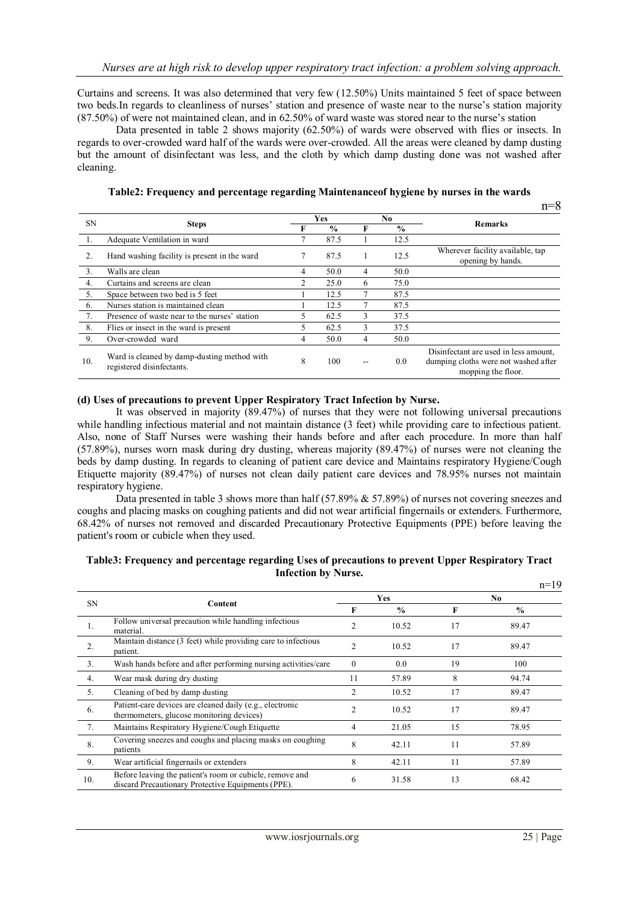Curtains and screens. It was also determined that very few (12.50%) Units maintained 5 feet of space between two beds.In regards to cleanliness of nurses' station and presence of waste near to the nurse's station majority (87.50%) of were not maintained clean, and in 62.50% of ward waste was stored near to the nurse's station

Data presented in table 2 shows majority (62.50%) of wards were observed with flies or insects. In regards to over-crowded ward half of the wards were over-crowded. All the areas were cleaned by damp dusting but the amount of disinfectant was less, and the cloth by which damp dusting done was not washed after cleaning.

**Table2: Frequency and percentage regarding Maintenanceof hygiene by nurses in the wards**

|           |                                                                          |   |               |   |               | п—с                                                                                                 |  |
|-----------|--------------------------------------------------------------------------|---|---------------|---|---------------|-----------------------------------------------------------------------------------------------------|--|
| <b>SN</b> | <b>Steps</b>                                                             |   | Yes           |   | No.           | <b>Remarks</b>                                                                                      |  |
|           |                                                                          |   | $\frac{0}{0}$ | F | $\frac{0}{0}$ |                                                                                                     |  |
|           | Adequate Ventilation in ward                                             |   | 87.5          |   | 12.5          |                                                                                                     |  |
| 2.        | Hand washing facility is present in the ward                             |   | 87.5          |   | 12.5          | Wherever facility available, tap<br>opening by hands.                                               |  |
| 3.        | Walls are clean                                                          | 4 | 50.0          | 4 | 50.0          |                                                                                                     |  |
| 4.        | Curtains and screens are clean                                           | 2 | 25.0          | 6 | 75.0          |                                                                                                     |  |
| 5.        | Space between two bed is 5 feet                                          |   | 12.5          | π | 87.5          |                                                                                                     |  |
| 6.        | Nurses station is maintained clean                                       |   | 12.5          | π | 87.5          |                                                                                                     |  |
| 7.        | Presence of waste near to the nurses' station                            |   | 62.5          | 3 | 37.5          |                                                                                                     |  |
| 8.        | Flies or insect in the ward is present                                   |   | 62.5          | 3 | 37.5          |                                                                                                     |  |
| 9.        | Over-crowded ward                                                        | 4 | 50.0          | 4 | 50.0          |                                                                                                     |  |
| 10.       | Ward is cleaned by damp-dusting method with<br>registered disinfectants. | 8 | 100           |   | 0.0           | Disinfectant are used in less amount.<br>dumping cloths were not washed after<br>mopping the floor. |  |

#### **(d) Uses of precautions to prevent Upper Respiratory Tract Infection by Nurse.**

It was observed in majority (89.47%) of nurses that they were not following universal precautions while handling infectious material and not maintain distance (3 feet) while providing care to infectious patient. Also, none of Staff Nurses were washing their hands before and after each procedure. In more than half (57.89%), nurses worn mask during dry dusting, whereas majority (89.47%) of nurses were not cleaning the beds by damp dusting. In regards to cleaning of patient care device and Maintains respiratory Hygiene/Cough Etiquette majority (89.47%) of nurses not clean daily patient care devices and 78.95% nurses not maintain respiratory hygiene.

Data presented in table 3 shows more than half (57.89% & 57.89%) of nurses not covering sneezes and coughs and placing masks on coughing patients and did not wear artificial fingernails or extenders. Furthermore, 68.42% of nurses not removed and discarded Precautionary Protective Equipments (PPE) before leaving the patient's room or cubicle when they used.

| <b>SN</b> |                                                                                                                | <b>Yes</b>     |               | No. |               |
|-----------|----------------------------------------------------------------------------------------------------------------|----------------|---------------|-----|---------------|
|           | Content                                                                                                        |                | $\frac{0}{0}$ | F   | $\frac{6}{9}$ |
|           | Follow universal precaution while handling infectious<br>material.                                             | 2              | 10.52         | 17  | 89.47         |
| 2.        | Maintain distance (3 feet) while providing care to infectious<br>patient.                                      | 2              | 10.52         | 17  | 89.47         |
| 3.        | Wash hands before and after performing nursing activities/care                                                 | $\mathbf{0}$   | 0.0           | 19  | 100           |
| 4.        | Wear mask during dry dusting                                                                                   | 11             | 57.89         | 8   | 94.74         |
| 5.        | Cleaning of bed by damp dusting                                                                                | $\overline{c}$ | 10.52         | 17  | 89.47         |
| 6.        | Patient-care devices are cleaned daily (e.g., electronic<br>thermometers, glucose monitoring devices)          | $\mathfrak{D}$ | 10.52         | 17  | 89.47         |
| 7.        | Maintains Respiratory Hygiene/Cough Etiquette                                                                  | 4              | 21.05         | 15  | 78.95         |
| 8.        | Covering sneezes and coughs and placing masks on coughing<br>patients                                          | 8              | 42.11         | 11  | 57.89         |
| 9.        | Wear artificial fingernails or extenders                                                                       | 8              | 42.11         | 11  | 57.89         |
| 10.       | Before leaving the patient's room or cubicle, remove and<br>discard Precautionary Protective Equipments (PPE). | 6              | 31.58         | 13  | 68.42         |

#### **Table3: Frequency and percentage regarding Uses of precautions to prevent Upper Respiratory Tract Infection by Nurse.**  $n=19$

 $n=0$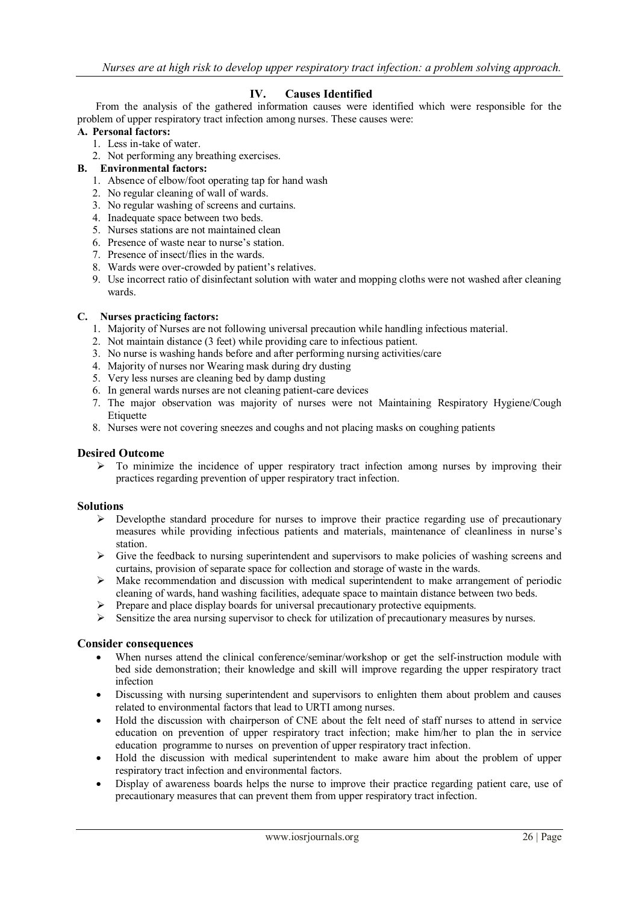## **IV. Causes Identified**

 From the analysis of the gathered information causes were identified which were responsible for the problem of upper respiratory tract infection among nurses. These causes were:

## **A. Personal factors:**

- 1. Less in-take of water.
- 2. Not performing any breathing exercises.
- **B. Environmental factors:**
	- 1. Absence of elbow/foot operating tap for hand wash
	- 2. No regular cleaning of wall of wards.
	- 3. No regular washing of screens and curtains.
	- 4. Inadequate space between two beds.
	- 5. Nurses stations are not maintained clean
	- 6. Presence of waste near to nurse's station.
	- 7. Presence of insect/flies in the wards.
	- 8. Wards were over-crowded by patient's relatives.
	- 9. Use incorrect ratio of disinfectant solution with water and mopping cloths were not washed after cleaning wards.

#### **C. Nurses practicing factors:**

- 1. Majority of Nurses are not following universal precaution while handling infectious material.
- 2. Not maintain distance (3 feet) while providing care to infectious patient.
- 3. No nurse is washing hands before and after performing nursing activities/care
- 4. Majority of nurses nor Wearing mask during dry dusting
- 5. Very less nurses are cleaning bed by damp dusting
- 6. In general wards nurses are not cleaning patient-care devices
- 7. The major observation was majority of nurses were not Maintaining Respiratory Hygiene/Cough Etiquette
- 8. Nurses were not covering sneezes and coughs and not placing masks on coughing patients

#### **Desired Outcome**

 $\geq$  To minimize the incidence of upper respiratory tract infection among nurses by improving their practices regarding prevention of upper respiratory tract infection.

#### **Solutions**

- $\triangleright$  Developthe standard procedure for nurses to improve their practice regarding use of precautionary measures while providing infectious patients and materials, maintenance of cleanliness in nurse's station.
- $\triangleright$  Give the feedback to nursing superintendent and supervisors to make policies of washing screens and curtains, provision of separate space for collection and storage of waste in the wards.
- Make recommendation and discussion with medical superintendent to make arrangement of periodic cleaning of wards, hand washing facilities, adequate space to maintain distance between two beds.
- $\triangleright$  Prepare and place display boards for universal precautionary protective equipments.
- $\triangleright$  Sensitize the area nursing supervisor to check for utilization of precautionary measures by nurses.

#### **Consider consequences**

- When nurses attend the clinical conference/seminar/workshop or get the self-instruction module with bed side demonstration; their knowledge and skill will improve regarding the upper respiratory tract infection
- Discussing with nursing superintendent and supervisors to enlighten them about problem and causes related to environmental factors that lead to URTI among nurses.
- Hold the discussion with chairperson of CNE about the felt need of staff nurses to attend in service education on prevention of upper respiratory tract infection; make him/her to plan the in service education programme to nurses on prevention of upper respiratory tract infection.
- Hold the discussion with medical superintendent to make aware him about the problem of upper respiratory tract infection and environmental factors.
- Display of awareness boards helps the nurse to improve their practice regarding patient care, use of precautionary measures that can prevent them from upper respiratory tract infection.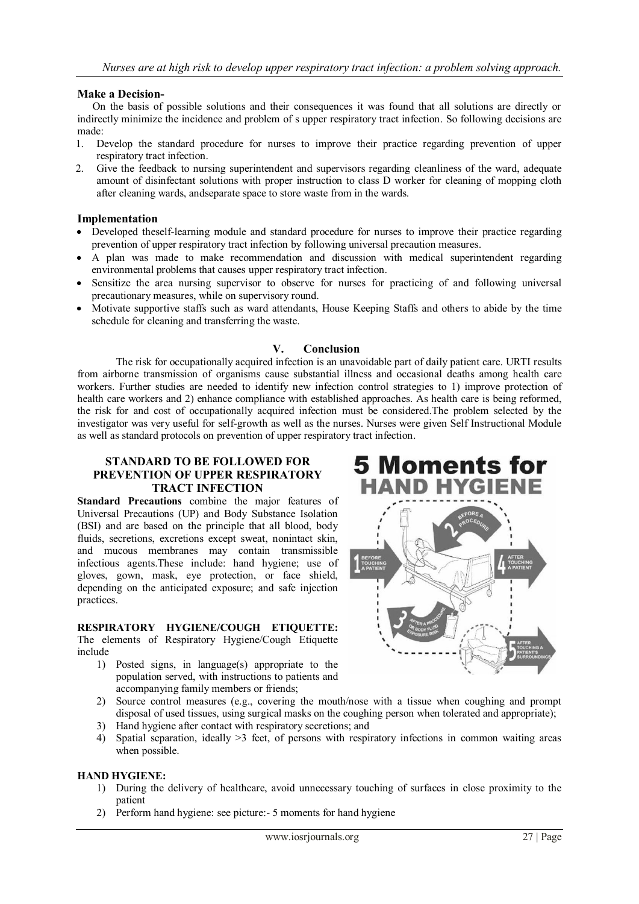## **Make a Decision-**

On the basis of possible solutions and their consequences it was found that all solutions are directly or indirectly minimize the incidence and problem of s upper respiratory tract infection. So following decisions are made:

- 1. Develop the standard procedure for nurses to improve their practice regarding prevention of upper respiratory tract infection.
- 2. Give the feedback to nursing superintendent and supervisors regarding cleanliness of the ward, adequate amount of disinfectant solutions with proper instruction to class D worker for cleaning of mopping cloth after cleaning wards, andseparate space to store waste from in the wards.

## **Implementation**

- Developed theself-learning module and standard procedure for nurses to improve their practice regarding prevention of upper respiratory tract infection by following universal precaution measures.
- A plan was made to make recommendation and discussion with medical superintendent regarding environmental problems that causes upper respiratory tract infection.
- Sensitize the area nursing supervisor to observe for nurses for practicing of and following universal precautionary measures, while on supervisory round.
- Motivate supportive staffs such as ward attendants, House Keeping Staffs and others to abide by the time schedule for cleaning and transferring the waste.

## **V. Conclusion**

The risk for occupationally acquired infection is an unavoidable part of daily patient care. URTI results from airborne transmission of organisms cause substantial illness and occasional deaths among health care workers. Further studies are needed to identify new infection control strategies to 1) improve protection of health care workers and 2) enhance compliance with established approaches. As health care is being reformed, the risk for and cost of occupationally acquired infection must be considered.The problem selected by the investigator was very useful for self-growth as well as the nurses. Nurses were given Self Instructional Module as well as standard protocols on prevention of upper respiratory tract infection.

### **STANDARD TO BE FOLLOWED FOR PREVENTION OF UPPER RESPIRATORY TRACT INFECTION**

**Standard Precautions** combine the major features of Universal Precautions (UP) and Body Substance Isolation (BSI) and are based on the principle that all blood, body fluids, secretions, excretions except sweat, nonintact skin, and mucous membranes may contain transmissible infectious agents.These include: hand hygiene; use of gloves, gown, mask, eye protection, or face shield, depending on the anticipated exposure; and safe injection practices.

# **RESPIRATORY HYGIENE/COUGH ETIQUETTE:**

The elements of Respiratory Hygiene/Cough Etiquette include

1) Posted signs, in language(s) appropriate to the population served, with instructions to patients and accompanying family members or friends;



- 2) Source control measures (e.g., covering the mouth/nose with a tissue when coughing and prompt disposal of used tissues, using surgical masks on the coughing person when tolerated and appropriate);
- 3) Hand hygiene after contact with respiratory secretions; and
- 4) Spatial separation, ideally >3 feet, of persons with respiratory infections in common waiting areas when possible.

## **HAND HYGIENE:**

- 1) During the delivery of healthcare, avoid unnecessary touching of surfaces in close proximity to the patient
- 2) Perform hand hygiene: see picture:- 5 moments for hand hygiene